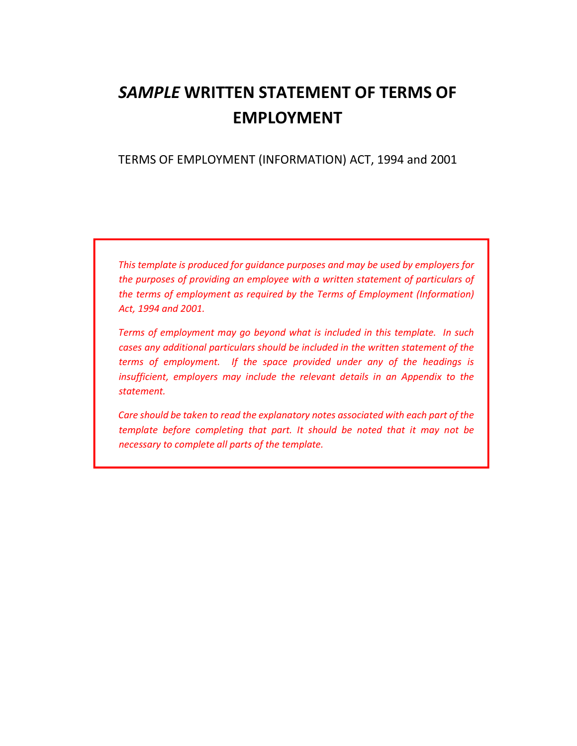# SAMPLE WRITTEN STATEMENT OF TERMS OF EMPLOYMENT

## TERMS OF EMPLOYMENT (INFORMATION) ACT, 1994 and 2001

This template is produced for guidance purposes and may be used by employers for the purposes of providing an employee with a written statement of particulars of the terms of employment as required by the Terms of Employment (Information) Act, 1994 and 2001.

Terms of employment may go beyond what is included in this template. In such cases any additional particulars should be included in the written statement of the terms of employment. If the space provided under any of the headings is insufficient, employers may include the relevant details in an Appendix to the statement.

Care should be taken to read the explanatory notes associated with each part of the template before completing that part. It should be noted that it may not be necessary to complete all parts of the template.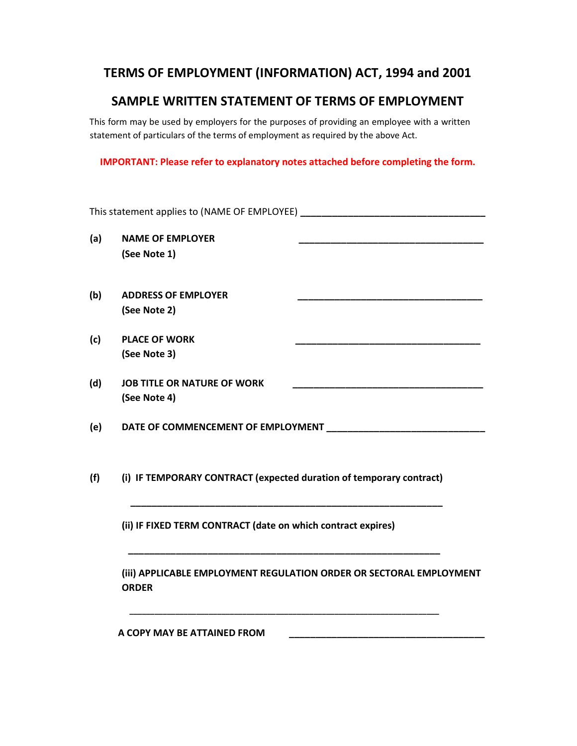# TERMS OF EMPLOYMENT (INFORMATION) ACT, 1994 and 2001

# SAMPLE WRITTEN STATEMENT OF TERMS OF EMPLOYMENT

This form may be used by employers for the purposes of providing an employee with a written statement of particulars of the terms of employment as required by the above Act.

IMPORTANT: Please refer to explanatory notes attached before completing the form.

| <b>NAME OF EMPLOYER</b><br>(See Note 1)            |                                                                                                                                                                                               |
|----------------------------------------------------|-----------------------------------------------------------------------------------------------------------------------------------------------------------------------------------------------|
| <b>ADDRESS OF EMPLOYER</b><br>(See Note 2)         |                                                                                                                                                                                               |
| <b>PLACE OF WORK</b><br>(See Note 3)               |                                                                                                                                                                                               |
| <b>JOB TITLE OR NATURE OF WORK</b><br>(See Note 4) |                                                                                                                                                                                               |
|                                                    |                                                                                                                                                                                               |
|                                                    |                                                                                                                                                                                               |
|                                                    |                                                                                                                                                                                               |
| <b>ORDER</b>                                       | (iii) APPLICABLE EMPLOYMENT REGULATION ORDER OR SECTORAL EMPLOYMENT                                                                                                                           |
|                                                    | DATE OF COMMENCEMENT OF EMPLOYMENT ___________________<br>(i) IF TEMPORARY CONTRACT (expected duration of temporary contract)<br>(ii) IF FIXED TERM CONTRACT (date on which contract expires) |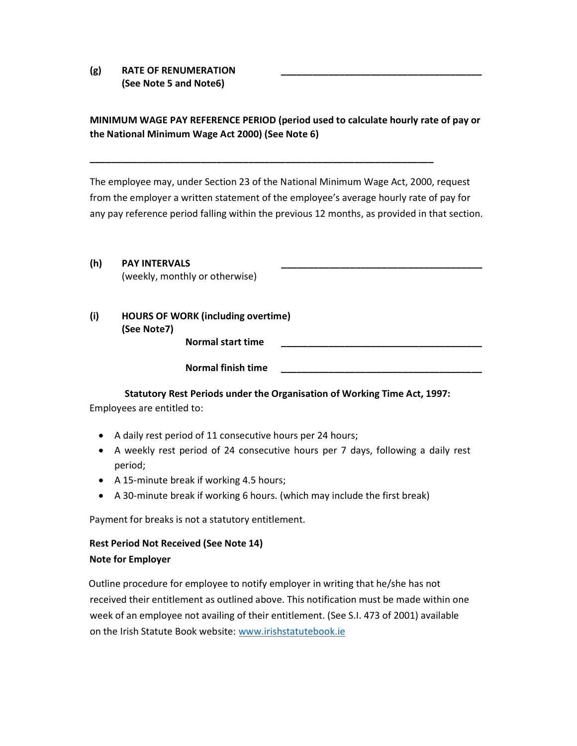(g) RATE OF RENUMERATION (See Note 5 and Note6)

## MINIMUM WAGE PAY REFERENCE PERIOD (period used to calculate hourly rate of pay or the National Minimum Wage Act 2000) (See Note 6)

\_\_\_\_\_\_\_\_\_\_\_\_\_\_\_\_\_\_\_\_\_\_\_\_\_\_\_\_\_\_\_\_\_\_\_\_\_\_\_\_\_\_\_\_\_\_\_\_\_\_\_\_\_\_\_\_\_\_\_\_\_\_\_\_\_

The employee may, under Section 23 of the National Minimum Wage Act, 2000, request from the employer a written statement of the employee's average hourly rate of pay for any pay reference period falling within the previous 12 months, as provided in that section.

## (h) PAY INTERVALS

(weekly, monthly or otherwise)

(i) HOURS OF WORK (including overtime) (See Note7) Normal start time

Normal finish time

#### Statutory Rest Periods under the Organisation of Working Time Act, 1997:

Employees are entitled to:

- A daily rest period of 11 consecutive hours per 24 hours;
- A weekly rest period of 24 consecutive hours per 7 days, following a daily rest period;
- A 15-minute break if working 4.5 hours;
- A 30-minute break if working 6 hours. (which may include the first break)

Payment for breaks is not a statutory entitlement.

## Rest Period Not Received (See Note 14) Note for Employer

Outline procedure for employee to notify employer in writing that he/she has not received their entitlement as outlined above. This notification must be made within one week of an employee not availing of their entitlement. (See S.I. 473 of 2001) available on the Irish Statute Book website: www.irishstatutebook.ie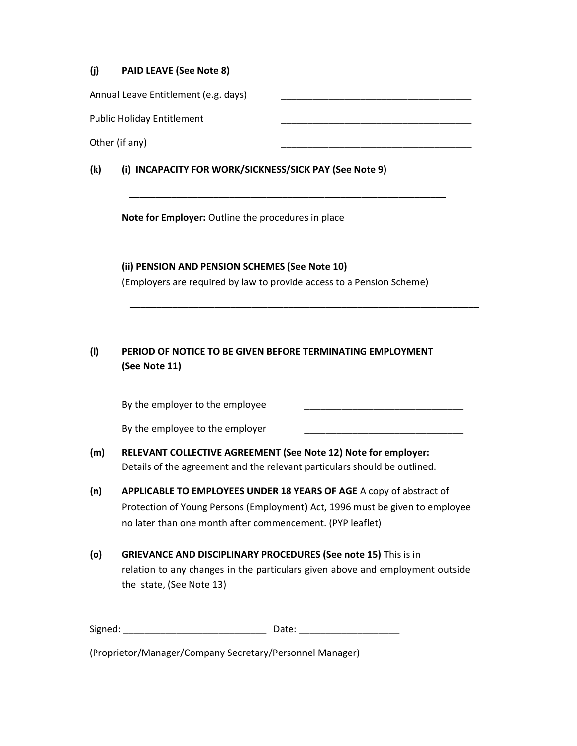#### (j) PAID LEAVE (See Note 8)

| (k) | (i) INCAPACITY FOR WORK/SICKNESS/SICK PAY (See Note 9) |
|-----|--------------------------------------------------------|
|     | Other (if any)                                         |
|     | <b>Public Holiday Entitlement</b>                      |
|     | Annual Leave Entitlement (e.g. days)                   |

\_\_\_\_\_\_\_\_\_\_\_\_\_\_\_\_\_\_\_\_\_\_\_\_\_\_\_\_\_\_\_\_\_\_\_\_\_\_\_\_\_\_\_\_\_\_\_\_\_\_\_\_\_\_\_\_\_\_\_\_

Note for Employer: Outline the procedures in place

(ii) PENSION AND PENSION SCHEMES (See Note 10) (Employers are required by law to provide access to a Pension Scheme)

\_\_\_\_\_\_\_\_\_\_\_\_\_\_\_\_\_\_\_\_\_\_\_\_\_\_\_\_\_\_\_\_\_\_\_\_\_\_\_\_\_\_\_\_\_\_\_\_\_\_\_\_\_\_\_\_\_\_\_\_\_\_\_\_\_\_

## (l) PERIOD OF NOTICE TO BE GIVEN BEFORE TERMINATING EMPLOYMENT (See Note 11)

By the employer to the employee

By the employee to the employer

- (m) RELEVANT COLLECTIVE AGREEMENT (See Note 12) Note for employer: Details of the agreement and the relevant particulars should be outlined.
- (n) APPLICABLE TO EMPLOYEES UNDER 18 YEARS OF AGE A copy of abstract of Protection of Young Persons (Employment) Act, 1996 must be given to employee no later than one month after commencement. (PYP leaflet)
- (o) GRIEVANCE AND DISCIPLINARY PROCEDURES (See note 15) This is in relation to any changes in the particulars given above and employment outside the state, (See Note 13)

Signed: \_\_\_\_\_\_\_\_\_\_\_\_\_\_\_\_\_\_\_\_\_\_\_\_\_\_\_ Date: \_\_\_\_\_\_\_\_\_\_\_\_\_\_\_\_\_\_\_

(Proprietor/Manager/Company Secretary/Personnel Manager)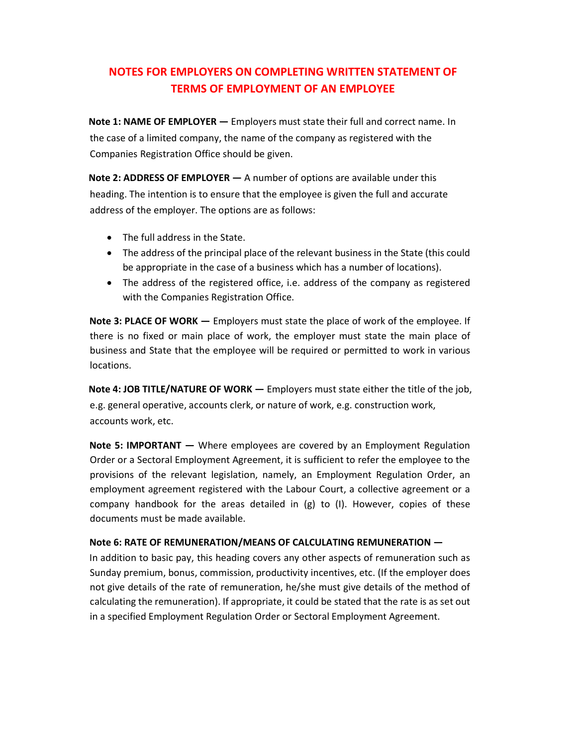# NOTES FOR EMPLOYERS ON COMPLETING WRITTEN STATEMENT OF TERMS OF EMPLOYMENT OF AN EMPLOYEE

Note 1: NAME OF EMPLOYER — Employers must state their full and correct name. In the case of a limited company, the name of the company as registered with the Companies Registration Office should be given.

Note 2: ADDRESS OF EMPLOYER — A number of options are available under this heading. The intention is to ensure that the employee is given the full and accurate address of the employer. The options are as follows:

- The full address in the State.
- The address of the principal place of the relevant business in the State (this could be appropriate in the case of a business which has a number of locations).
- The address of the registered office, i.e. address of the company as registered with the Companies Registration Office.

Note 3: PLACE OF WORK — Employers must state the place of work of the employee. If there is no fixed or main place of work, the employer must state the main place of business and State that the employee will be required or permitted to work in various locations.

Note 4: JOB TITLE/NATURE OF WORK — Employers must state either the title of the job, e.g. general operative, accounts clerk, or nature of work, e.g. construction work, accounts work, etc.

Note 5: IMPORTANT — Where employees are covered by an Employment Regulation Order or a Sectoral Employment Agreement, it is sufficient to refer the employee to the provisions of the relevant legislation, namely, an Employment Regulation Order, an employment agreement registered with the Labour Court, a collective agreement or a company handbook for the areas detailed in (g) to (I). However, copies of these documents must be made available.

#### Note 6: RATE OF REMUNERATION/MEANS OF CALCULATING REMUNERATION —

In addition to basic pay, this heading covers any other aspects of remuneration such as Sunday premium, bonus, commission, productivity incentives, etc. (If the employer does not give details of the rate of remuneration, he/she must give details of the method of calculating the remuneration). If appropriate, it could be stated that the rate is as set out in a specified Employment Regulation Order or Sectoral Employment Agreement.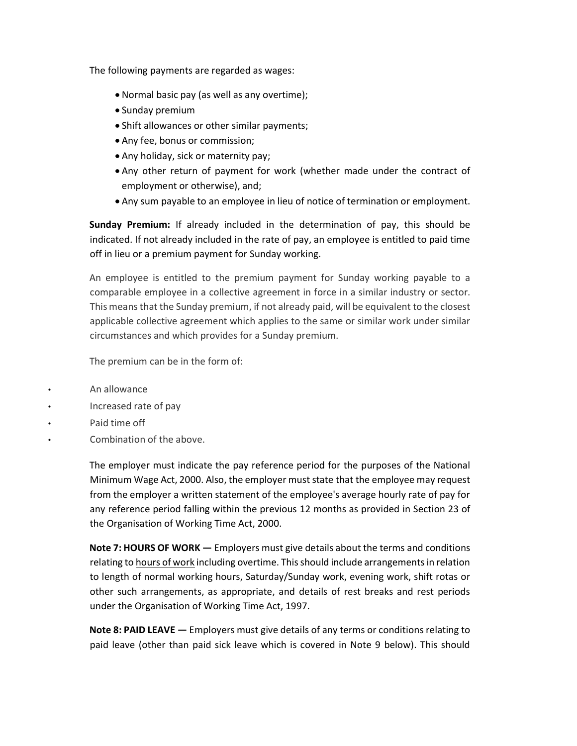The following payments are regarded as wages:

- Normal basic pay (as well as any overtime);
- Sunday premium
- Shift allowances or other similar payments;
- Any fee, bonus or commission;
- Any holiday, sick or maternity pay;
- Any other return of payment for work (whether made under the contract of employment or otherwise), and;
- Any sum payable to an employee in lieu of notice of termination or employment.

Sunday Premium: If already included in the determination of pay, this should be indicated. If not already included in the rate of pay, an employee is entitled to paid time off in lieu or a premium payment for Sunday working.

An employee is entitled to the premium payment for Sunday working payable to a comparable employee in a collective agreement in force in a similar industry or sector. This means that the Sunday premium, if not already paid, will be equivalent to the closest applicable collective agreement which applies to the same or similar work under similar circumstances and which provides for a Sunday premium.

The premium can be in the form of:

- An allowance
- Increased rate of pay
- Paid time off
- Combination of the above.

The employer must indicate the pay reference period for the purposes of the National Minimum Wage Act, 2000. Also, the employer must state that the employee may request from the employer a written statement of the employee's average hourly rate of pay for any reference period falling within the previous 12 months as provided in Section 23 of the Organisation of Working Time Act, 2000.

Note 7: HOURS OF WORK — Employers must give details about the terms and conditions relating to hours of work including overtime. This should include arrangements in relation to length of normal working hours, Saturday/Sunday work, evening work, shift rotas or other such arrangements, as appropriate, and details of rest breaks and rest periods under the Organisation of Working Time Act, 1997.

Note 8: PAID LEAVE — Employers must give details of any terms or conditions relating to paid leave (other than paid sick leave which is covered in Note 9 below). This should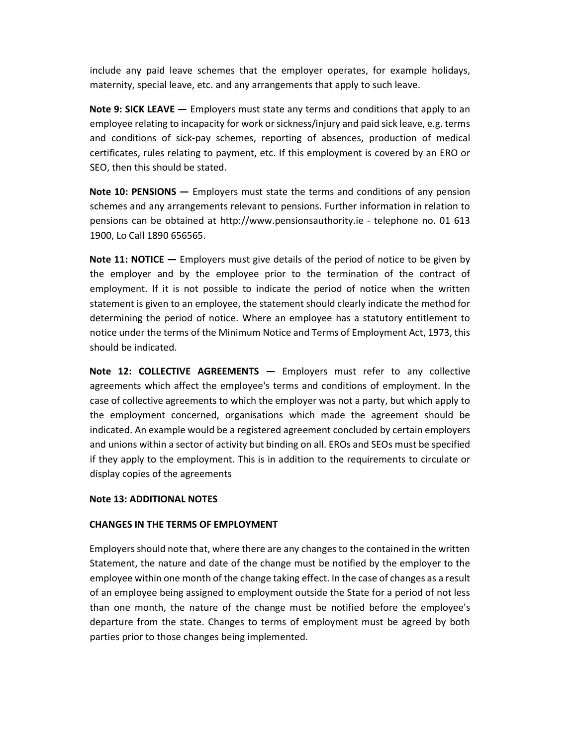include any paid leave schemes that the employer operates, for example holidays, maternity, special leave, etc. and any arrangements that apply to such leave.

Note 9: SICK LEAVE — Employers must state any terms and conditions that apply to an employee relating to incapacity for work or sickness/injury and paid sick leave, e.g. terms and conditions of sick-pay schemes, reporting of absences, production of medical certificates, rules relating to payment, etc. If this employment is covered by an ERO or SEO, then this should be stated.

Note 10: PENSIONS — Employers must state the terms and conditions of any pension schemes and any arrangements relevant to pensions. Further information in relation to pensions can be obtained at http://www.pensionsauthority.ie - telephone no. 01 613 1900, Lo Call 1890 656565.

Note 11: NOTICE – Employers must give details of the period of notice to be given by the employer and by the employee prior to the termination of the contract of employment. If it is not possible to indicate the period of notice when the written statement is given to an employee, the statement should clearly indicate the method for determining the period of notice. Where an employee has a statutory entitlement to notice under the terms of the Minimum Notice and Terms of Employment Act, 1973, this should be indicated.

Note 12: COLLECTIVE AGREEMENTS — Employers must refer to any collective agreements which affect the employee's terms and conditions of employment. In the case of collective agreements to which the employer was not a party, but which apply to the employment concerned, organisations which made the agreement should be indicated. An example would be a registered agreement concluded by certain employers and unions within a sector of activity but binding on all. EROs and SEOs must be specified if they apply to the employment. This is in addition to the requirements to circulate or display copies of the agreements

#### Note 13: ADDITIONAL NOTES

#### CHANGES IN THE TERMS OF EMPLOYMENT

Employers should note that, where there are any changes to the contained in the written Statement, the nature and date of the change must be notified by the employer to the employee within one month of the change taking effect. In the case of changes as a result of an employee being assigned to employment outside the State for a period of not less than one month, the nature of the change must be notified before the employee's departure from the state. Changes to terms of employment must be agreed by both parties prior to those changes being implemented.